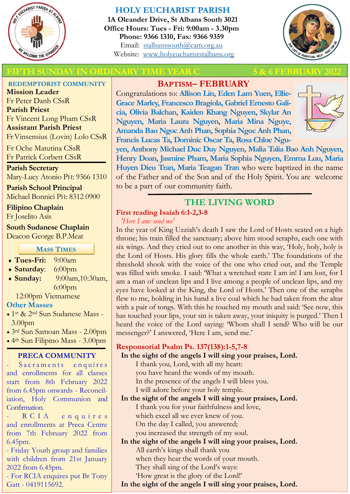

# **HOLY EUCHARIST PARISH**

**1A Oleander Drive, St Albans South 3021 Office Hours: Tues - Fri: 9:00am - 3.30pm Phone: 9366 1310, Fax: 9366 9359** Email: [stalbanssouth@cam.org.au](mailto:stalbanssouth@cam.org.au) Website:[www.holyeuchariststalbans.org](http://www.holyeuchariststalbans.org)



## **FIFTH SUNDAY IN ORDINARY TIME YEAR C 4 AND 5 & 6 FEBRUARY**

**REDEMPTORIST COMMUNITY**

**Mission Leader** Fr Peter Danh CSsR **Parish Priest** Fr Vincent Long Pham CSsR **Assistant Parish Priest**  Fr Vinsensius (Lovin) Lolo CSsR

Fr Oche Matutina CSsR Fr Patrick Corbett CSsR

**Parish Secretary** Mary-Lucy Atonio PH: 9366 1310

**Parish School Principal** Michael Bonnici PH: 8312 0900

**Filipino Chaplain** Fr Joselito Asis

# **South Sudanese Chaplain**

Deacon George B.P.Meat

**MASS TIMES**

- **Tues-Fri:** 9:00am
- **Saturday**: 6:00pm
- **Sunday:** 9:00am, 10:30am, 6:00pm

12:00pm Vietnamese

# **Other Masses**

- 1st & 2nd Sun Sudanese Mass 3.00pm
- 3rd Sun Samoan Mass 2.00pm
- 4th Sun Filipino Mass 3.00pm

## **PRECA COMMUNITY**

Sacraments enquires and enrollments for all classes start from 8th February 2022 from 6.45pm onwards - Reconciliation, Holy Communion and Confirmation.

R C I A e n qui r e s and enrollments at Preca Centre from 7th February 2022 from 6.45pm.

- Friday Youth group and families with children from 21st January 2022 from 6.45pm.

- For RCIA enquires put Br Tony Gatt - 0419115692.

# **BAPTISM– FEBRUARY**

Congratulations to: **Allison Lin, Eden Lam Yuen, Ellie-Grace Marley, Francesco Bragiola, Gabriel Ernesto Galicia, Olivia Balchan, Kaiden Khang Nguyen, Skylar An Nguyen, Maria Laura Nguyen, Maria Mina Nguye, Amanda Bao Ngoc Anh Phan, Sophia Ngoc Anh Phan, Francis Lucas Ta, Dominic Oscar Ta, Rosa Chloe Ngu-**



**yen, Anthony Michael Duc Duy Nguyen, Malia Talia Bao Anh Nguyen, Henry Doan, Jasmine Pham, Maria Sophia Nguyen, Emma Luu, Maria Huyen Dieu Tran, Maria Teagan Tran** who were baptized in the name of the Father and of the Son and of the Holy Spirit. You are welcome to be a part of our community faith.

# **THE LIVING WORD**

# **First reading Isaiah 6:1-2,3-8**

*'Here I am: send me'*

In the year of King Uzziah's death I saw the Lord of Hosts seated on a high throne; his train filled the sanctuary; above him stood seraphs, each one with six wings. And they cried out to one another in this way, 'Holy, holy, holy is the Lord of Hosts. His glory fills the whole earth.' The foundations of the threshold shook with the voice of the one who cried out, and the Temple was filled with smoke. I said: 'What a wretched state I am in! I am lost, for I am a man of unclean lips and I live among a people of unclean lips, and my eyes have looked at the King, the Lord of Hosts.' Then one of the seraphs flew to me, holding in his hand a live coal which he had taken from the altar with a pair of tongs. With this he touched my mouth and said: 'See now, this has touched your lips, your sin is taken away, your iniquity is purged.' Then I heard the voice of the Lord saying: 'Whom shall I send? Who will be our messenger?' I answered, 'Here I am, send me.'

# **Responsorial Psalm Ps. 137(138):1-5,7-8**

## **In the sight of the angels I will sing your praises, Lord.**

I thank you, Lord, with all my heart: you have heard the words of my mouth. In the presence of the angels I will bless you. I will adore before your holy temple.

**In the sight of the angels I will sing your praises, Lord.** I thank you for your faithfulness and love, which excel all we ever knew of you.

On the day I called, you answered;

you increased the strength of my soul.

**In the sight of the angels I will sing your praises, Lord.** All earth's kings shall thank you when they hear the words of your mouth.

They shall sing of the Lord's ways:

'How great is the glory of the Lord!'

**In the sight of the angels I will sing your praises, Lord.**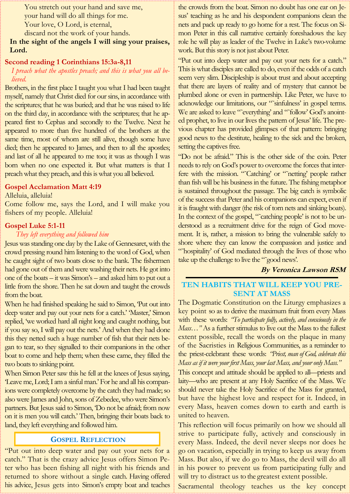You stretch out your hand and save me, your hand will do all things for me. Your love, O Lord, is eternal, discard not the work of your hands. **In the sight of the angels I will sing your praises,** 

#### **Second reading 1 Corinthians 15:3a-8,11**

*I preach what the apostles preach; and this is what you all believed.*

Brothers, in the first place I taught you what I had been taught myself, namely that Christ died for our sins, in accordance with the scriptures; that he was buried; and that he was raised to life on the third day, in accordance with the scriptures; that he appeared first to Cephas and secondly to the Twelve. Next he appeared to more than five hundred of the brothers at the same time, most of whom are still alive, though some have died; then he appeared to James, and then to all the apostles; and last of all he appeared to me too; it was as though I was born when no one expected it. But what matters is that I preach what they preach, and this is what you all believed.

#### **Gospel Acclamation Matt 4:19**

#### Alleluia, alleluia!

**Lord.**

Come follow me, says the Lord, and I will make you fishers of my people. Alleluia!

#### **Gospel Luke 5:1-11**

#### *They left everything and followed him*

Jesus was standing one day by the Lake of Gennesaret, with the crowd pressing round him listening to the word of God, when he caught sight of two boats close to the bank. The fishermen had gone out of them and were washing their nets. He got into one of the boats – it was Simon's – and asked him to put out a little from the shore. Then he sat down and taught the crowds from the boat.

When he had finished speaking he said to Simon, 'Put out into deep water and pay out your nets for a catch.' Master,' Simon replied, 'we worked hard all night long and caught nothing, but if you say so, I will pay out the nets.' And when they had done this they netted such a huge number of fish that their nets began to tear, so they signalled to their companions in the other boat to come and help them; when these came, they filled the two boats to sinking point.

When Simon Peter saw this he fell at the knees of Jesus saying, 'Leave me, Lord; I am a sinful man.' For he and all his companions were completely overcome by the catch they had made; so also were James and John, sons of Zebedee, who were Simon's partners. But Jesus said to Simon, 'Do not be afraid; from now on it is men you will catch.' Then, bringing their boats back to land, they left everything and followed him.

#### **GOSPEL REFLECTION**

"Put out into deep water and pay out your nets for a catch." That is the crazy advice Jesus offers Simon Peter who has been fishing all night with his friends and returned to shore without a single catch. Having offered his advice, Jesus gets into Simon's empty boat and teaches

the crowds from the boat. Simon no doubt has one ear on Jesus' teaching as he and his despondent companions clean the nets and pack up ready to go home for a rest. The focus on Simon Peter in this call narrative certainly foreshadows the key role he will play as leader of the Twelve in Luke's two-volume work. But this story is not just about Peter.

"Put out into deep water and pay out your nets for a catch." This is what disciples are called to do, even if the odds of a catch seem very slim. Discipleship is about trust and about accepting that there are layers of reality and of mystery that cannot be plumbed alone or even in partnership. Like Peter, we have to acknowledge our limitations, our "˜sinfulness' in gospel terms. We are asked to leave "~everything' and "~follow' God's anointed prophet, to live in our lives the pattern of Jesus' life. The previous chapter has provided glimpses of that pattern: bringing good news to the destitute, healing to the sick and the broken, setting the captives free.

"Do not be afraid." This is the other side of the coin. Peter needs to rely on God's power to overcome the forces that interfere with the mission. "Catching' or "~netting' people rather than fish will be his business in the future. The fishing metaphor is sustained throughout the passage. The big catch is symbolic of the success that Peter and his companions can expect, even if it is fraught with danger (the risk of torn nets and sinking boats). In the context of the gospel, "catching people' is not to be understood as a recruitment drive for the reign of God movement. It is, rather, a mission to bring the vulnerable safely to shore where they can know the compassion and justice and "˜hospitality' of God mediated through the lives of those who take up the challenge to live the "˜good news'.

#### **By Veronica Lawson RSM**

#### **TEN HABITS THAT WILL KEEP YOU PRE-SENT AT MASS**

The Dogmatic Constitution on the Liturgy emphasizes a key point so as to derive the maximum fruit from every Mass with these words: *"To participate fully, actively, and consciously in the Mass…"* As a further stimulus to live out the Mass to the fullest extent possible, recall the words on the plaque in many of the Sacristies in Religious Communities, as a reminder to the priest-celebrant these words: *"Priest, man of God, celebrate this Mass as if it were your first Mass, your last Mass, and your only Mass."*

This concept and attitude should be applied to all—priests and laity—who are present at any Holy Sacrifice of the Mass. We should never take the Holy Sacrifice of the Mass for granted, but have the highest love and respect for it. Indeed, in every Mass, heaven comes down to earth and earth is united to heaven.

This reflection will focus primarily on how we should all strive to participate fully, actively and consciously in every Mass. Indeed, the devil never sleeps nor does he go on vacation, especially in trying to keep us away from Mass. But also, if we do go to Mass, the devil will do all in his power to prevent us from participating fully and will try to distract us to the greatest extent possible.

Sacramental theology teaches us the key concept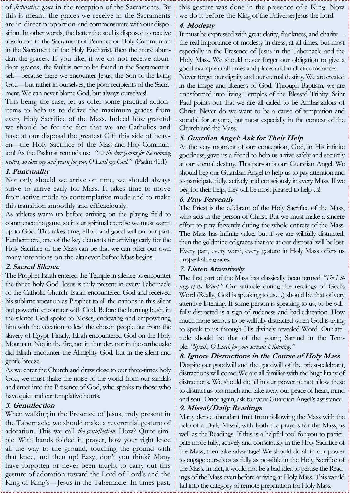of *dispositive grace* in the reception of the Sacraments. By this is meant: the graces we receive in the Sacraments are in direct proportion and commensurate with our disposition. In other words, the better the soul is disposed to receive absolution in the Sacrament of Penance or Holy Communion in the Sacrament of the Holy Eucharist, then the more abundant the graces. If you like, if we do not receive abundant graces, the fault is not to be found in the Sacrament itself—because there we encounter Jesus, the Son of the living God—but rather in ourselves, the poor recipients of the Sacrament. We can never blame God, but always ourselves!

This being the case, let us offer some practical actionitems to help us to derive the maximum graces from every Holy Sacrifice of the Mass. Indeed how grateful we should be for the fact that we are Catholics and have at our disposal the greatest Gift this side of heaven—the Holy Sacrifice of the Mass and Holy Communion! As the Psalmist reminds us: *"As the deer yearns for the running waters, so does my soul yearn for you, O Lord my God."* (Psalm 41:1)

## **1. Punctuality**

Not only should we arrive on time, we should always strive to arrive early for Mass. It takes time to move from active-mode to contemplative-mode and to make this transition smoothly and efficaciously.

As athletes warm up before arriving on the playing field to commence the game, so in our spiritual exercise we must warm up to God. This takes time, effort and good will on our part. Furthermore, one of the key elements for arriving early for the Holy Sacrifice of the Mass can be that we can offer our own many intentions on the altar even before Mass begins.

## **2. Sacred Silence**

The Prophet Isaiah entered the Temple in silence to encounter the thrice holy God. Jesus is truly present in every Tabernacle of the Catholic Church. Isaiah encountered God and received his sublime vocation as Prophet to all the nations in this silent but powerful encounter with God. Before the burning bush, in the silence God spoke to Moses, endowing and empowering him with the vocation to lead the chosen people out from the slavery of Egypt. Finally, Elijah encountered God on the Holy Mountain. Not in the fire, not in thunder, nor in the earthquake did Elijah encounter the Almighty God, but in the silent and gentle breeze.

As we enter the Church and draw close to our three-times holy God, we must shake the noise of the world from our sandals and enter into the Presence of God, who speaks to those who have quiet and contemplative hearts.

## **3. Genuflection**

When walking in the Presence of Jesus, truly present in the Tabernacle, we should make a reverential gesture of adoration. This we call *the genuflection.* How? Quite simple! With hands folded in prayer, bow your right knee all the way to the ground, touching the ground with that knee, and then up! Easy, don't you think? Many have forgotten or never been taught to carry out this gesture of adoration toward the Lord of Lord's and the King of King's—Jesus in the Tabernacle! In times past, this gesture was done in the presence of a King. Now we do it before the King of the Universe: Jesus the Lord!

## **4. Modesty**

It must be expressed with great clarity, frankness, and charity the real importance of modesty in dress, at all times, but most especially in the Presence of Jesus in the Tabernacle and the Holy Mass. We should never forget our obligation to give a good example at all times and places and in all circumstances.

Never forget our dignity and our eternal destiny. We are created in the image and likeness of God. Through Baptism, we are transformed into living Temples of the Blessed Trinity. Saint Paul points out that we are all called to be Ambassadors of Christ. Never do we want to be a cause of temptation and scandal for anyone, but most especially in the context of the Church and the Mass.

# **5. Guardian Angel: Ask for Their Help**

At the very moment of our conception, God, in His infinite goodness, gave us a friend to help us arrive safely and securely at our eternal destiny. This person is our [Guardian Angel.](https://catholicexchange.com/four-things-your-guardian-angel-does-for-you/) We should beg our Guardian Angel to help us to pay attention and to participate fully, actively and consciously in every Mass. If we beg for their help, they will be most pleased to help us!

# **6. Pray Fervently**

The Priest is the celebrant of the Holy Sacrifice of the Mass, who acts in the person of Christ. But we must make a sincere effort to pray fervently during the whole entirety of the Mass. The Mass has infinite value, but if we are willfully distracted, then the goldmine of graces that are at our disposal will be lost. Every part, every word, every gesture in Holy Mass offers us unspeakable graces.

# **7. Listen Attentively**

The first part of the Mass has classically been termed *"The Liturgy of the Word."* Our attitude during the readings of God's Word (Really, God is speaking to us…) should be that of very attentive listening. If some person is speaking to us, to be willfully distracted is a sign of rudeness and bad-education. How much more serious to be willfully distracted when God is trying to speak to us through His divinely revealed Word. Our attitude should be that of the young Samuel in the Temple: *"Speak, O Lord, for your servant is listening."*

**8. Ignore Distractions in the Course of Holy Mass** Despite our goodwill and the goodwill of the priest-celebrant, distractions will come. We are all familiar with the huge litany of distractions. We should do all in our power to not allow these to distract us too much and take away our peace of heart, mind and soul. Once again, ask for your Guardian Angel's assistance.

# **9. Missal/Daily Readings**

Many derive abundant fruit from following the Mass with the help of a Daily Missal, with both the prayers for the Mass, as well as the Readings. If this is a helpful tool for you to participate more fully, actively and consciously in the Holy Sacrifice of the Mass, then take advantage! We should do all in our power to engage ourselves as fully as possible in the Holy Sacrifice of the Mass. In fact, it would not be a bad idea to peruse the Readings of the Mass even before arriving at Holy Mass. This would fall into the category of remote preparation for Holy Mass.